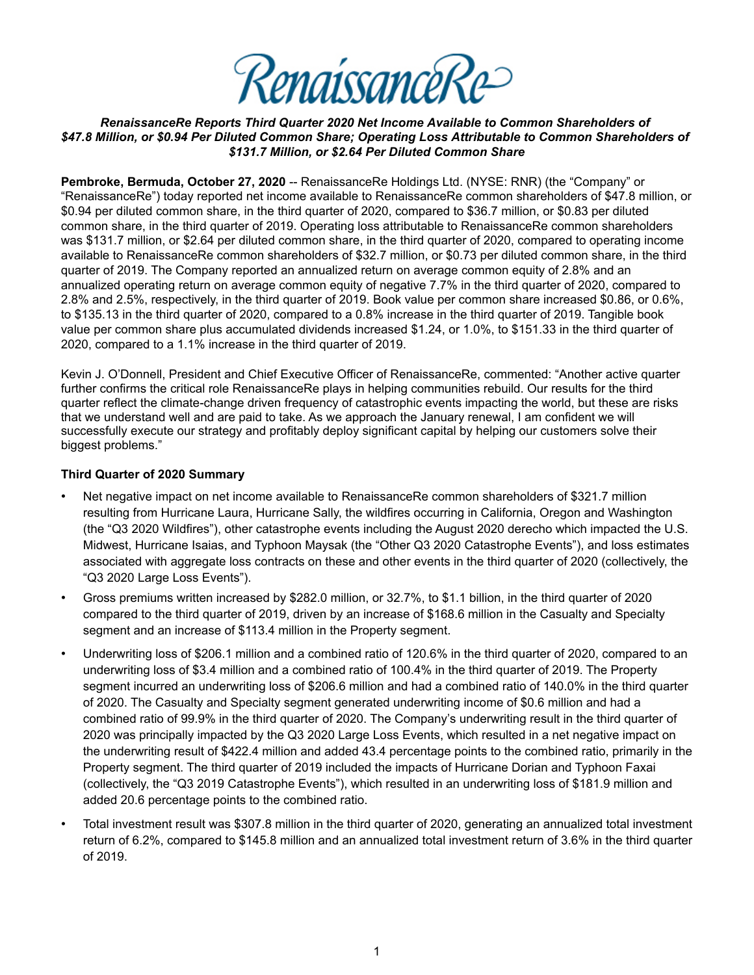

#### *RenaissanceRe Reports Third Quarter 2020 Net Income Available to Common Shareholders of \$47.8 Million, or \$0.94 Per Diluted Common Share; Operating Loss Attributable to Common Shareholders of \$131.7 Million, or \$2.64 Per Diluted Common Share*

**Pembroke, Bermuda, October 27, 2020** -- RenaissanceRe Holdings Ltd. (NYSE: RNR) (the "Company" or "RenaissanceRe") today reported net income available to RenaissanceRe common shareholders of \$47.8 million, or \$0.94 per diluted common share, in the third quarter of 2020, compared to \$36.7 million, or \$0.83 per diluted common share, in the third quarter of 2019. Operating loss attributable to RenaissanceRe common shareholders was \$131.7 million, or \$2.64 per diluted common share, in the third quarter of 2020, compared to operating income available to RenaissanceRe common shareholders of \$32.7 million, or \$0.73 per diluted common share, in the third quarter of 2019. The Company reported an annualized return on average common equity of 2.8% and an annualized operating return on average common equity of negative 7.7% in the third quarter of 2020, compared to 2.8% and 2.5%, respectively, in the third quarter of 2019. Book value per common share increased \$0.86, or 0.6%, to \$135.13 in the third quarter of 2020, compared to a 0.8% increase in the third quarter of 2019. Tangible book value per common share plus accumulated dividends increased \$1.24, or 1.0%, to \$151.33 in the third quarter of 2020, compared to a 1.1% increase in the third quarter of 2019.

Kevin J. O'Donnell, President and Chief Executive Officer of RenaissanceRe, commented: "Another active quarter further confirms the critical role RenaissanceRe plays in helping communities rebuild. Our results for the third quarter reflect the climate-change driven frequency of catastrophic events impacting the world, but these are risks that we understand well and are paid to take. As we approach the January renewal, I am confident we will successfully execute our strategy and profitably deploy significant capital by helping our customers solve their biggest problems."

#### **Third Quarter of 2020 Summary**

- Net negative impact on net income available to RenaissanceRe common shareholders of \$321.7 million resulting from Hurricane Laura, Hurricane Sally, the wildfires occurring in California, Oregon and Washington (the "Q3 2020 Wildfires"), other catastrophe events including the August 2020 derecho which impacted the U.S. Midwest, Hurricane Isaias, and Typhoon Maysak (the "Other Q3 2020 Catastrophe Events"), and loss estimates associated with aggregate loss contracts on these and other events in the third quarter of 2020 (collectively, the "Q3 2020 Large Loss Events").
- Gross premiums written increased by \$282.0 million, or 32.7%, to \$1.1 billion, in the third quarter of 2020 compared to the third quarter of 2019, driven by an increase of \$168.6 million in the Casualty and Specialty segment and an increase of \$113.4 million in the Property segment.
- Underwriting loss of \$206.1 million and a combined ratio of 120.6% in the third quarter of 2020, compared to an underwriting loss of \$3.4 million and a combined ratio of 100.4% in the third quarter of 2019. The Property segment incurred an underwriting loss of \$206.6 million and had a combined ratio of 140.0% in the third quarter of 2020. The Casualty and Specialty segment generated underwriting income of \$0.6 million and had a combined ratio of 99.9% in the third quarter of 2020. The Company's underwriting result in the third quarter of 2020 was principally impacted by the Q3 2020 Large Loss Events, which resulted in a net negative impact on the underwriting result of \$422.4 million and added 43.4 percentage points to the combined ratio, primarily in the Property segment. The third quarter of 2019 included the impacts of Hurricane Dorian and Typhoon Faxai (collectively, the "Q3 2019 Catastrophe Events"), which resulted in an underwriting loss of \$181.9 million and added 20.6 percentage points to the combined ratio.
- Total investment result was \$307.8 million in the third quarter of 2020, generating an annualized total investment return of 6.2%, compared to \$145.8 million and an annualized total investment return of 3.6% in the third quarter of 2019.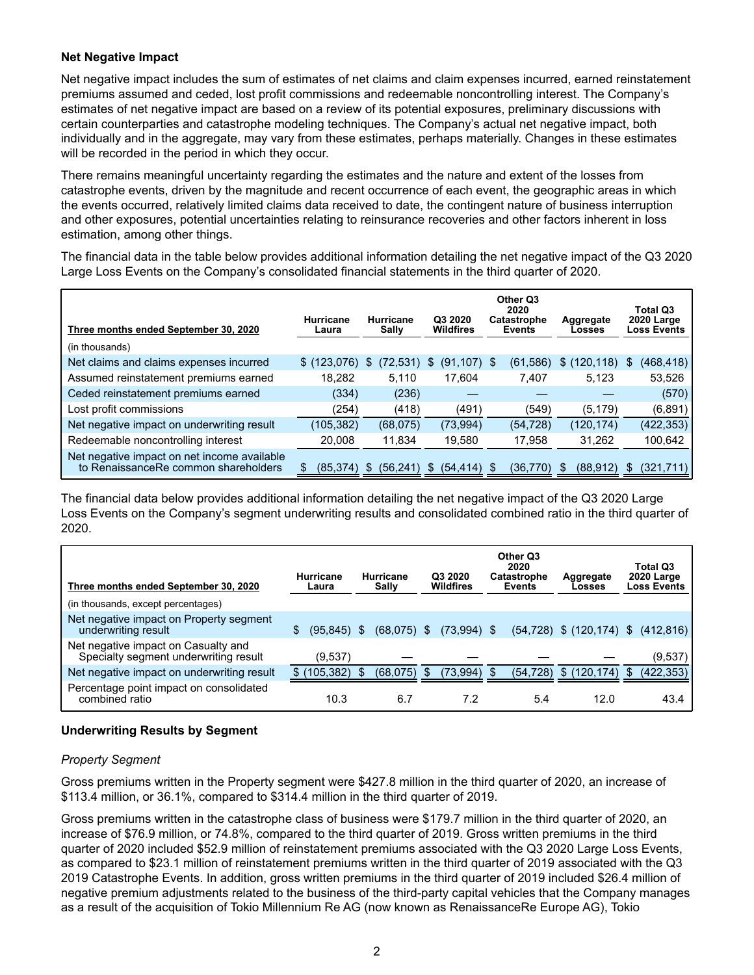#### **Net Negative Impact**

Net negative impact includes the sum of estimates of net claims and claim expenses incurred, earned reinstatement premiums assumed and ceded, lost profit commissions and redeemable noncontrolling interest. The Company's estimates of net negative impact are based on a review of its potential exposures, preliminary discussions with certain counterparties and catastrophe modeling techniques. The Company's actual net negative impact, both individually and in the aggregate, may vary from these estimates, perhaps materially. Changes in these estimates will be recorded in the period in which they occur.

There remains meaningful uncertainty regarding the estimates and the nature and extent of the losses from catastrophe events, driven by the magnitude and recent occurrence of each event, the geographic areas in which the events occurred, relatively limited claims data received to date, the contingent nature of business interruption and other exposures, potential uncertainties relating to reinsurance recoveries and other factors inherent in loss estimation, among other things.

The financial data in the table below provides additional information detailing the net negative impact of the Q3 2020 Large Loss Events on the Company's consolidated financial statements in the third quarter of 2020.

| Three months ended September 30, 2020                                               | <b>Hurricane</b><br>Laura | <b>Hurricane</b><br>Sally | Q3 2020<br>Wildfires | Other Q3<br>2020<br><b>Catastrophe</b><br><b>Events</b> | Aggregate<br>Losses | Total Q3<br>2020 Large<br>Loss Events |
|-------------------------------------------------------------------------------------|---------------------------|---------------------------|----------------------|---------------------------------------------------------|---------------------|---------------------------------------|
| (in thousands)                                                                      |                           |                           |                      |                                                         |                     |                                       |
| Net claims and claims expenses incurred                                             | \$(123,076)               | (72, 531)<br>\$.          | $(91, 107)$ \$       | (61, 586)                                               | (120, 118)<br>\$.   | (468, 418)                            |
| Assumed reinstatement premiums earned                                               | 18.282                    | 5.110                     | 17.604               | 7.407                                                   | 5.123               | 53,526                                |
| Ceded reinstatement premiums earned                                                 | (334)                     | (236)                     |                      |                                                         |                     | (570)                                 |
| Lost profit commissions                                                             | (254)                     | (418)                     | (491)                | (549)                                                   | (5, 179)            | (6, 891)                              |
| Net negative impact on underwriting result                                          | (105,382)                 | (68,075)                  | (73, 994)            | (54, 728)                                               | (120, 174)          | (422, 353)                            |
| Redeemable noncontrolling interest                                                  | 20,008                    | 11,834                    | 19.580               | 17,958                                                  | 31.262              | 100,642                               |
| Net negative impact on net income available<br>to RenaissanceRe common shareholders | (85,374)                  | (56,241                   | (54.414)             | (36,770)                                                | (88, 912)           | (321,711)                             |

The financial data below provides additional information detailing the net negative impact of the Q3 2020 Large Loss Events on the Company's segment underwriting results and consolidated combined ratio in the third quarter of 2020.

| Three months ended September 30, 2020                                        | <b>Hurricane</b><br>Laura |      | <b>Hurricane</b><br>Sally | Q3 2020<br><b>Wildfires</b> |               |     | Other Q3<br>2020<br><b>Catastrophe</b><br>Events | Aggregate<br>Losses | Total Q3<br>2020 Large<br><b>Loss Events</b> |
|------------------------------------------------------------------------------|---------------------------|------|---------------------------|-----------------------------|---------------|-----|--------------------------------------------------|---------------------|----------------------------------------------|
| (in thousands, except percentages)                                           |                           |      |                           |                             |               |     |                                                  |                     |                                              |
| Net negative impact on Property segment<br>underwriting result               | (95, 845)<br>\$           | - \$ | $(68,075)$ \$             |                             | $(73,994)$ \$ |     |                                                  |                     | $(54, 728)$ \$ $(120, 174)$ \$ $(412, 816)$  |
| Net negative impact on Casualty and<br>Specialty segment underwriting result | (9,537)                   |      |                           |                             |               |     |                                                  |                     | (9,537)                                      |
| Net negative impact on underwriting result                                   | (105, 382)                | \$.  | (68,075)                  | \$.                         | (73,994)      | \$. | (54, 728)                                        | (120, 174)<br>\$    | (422, 353)<br>\$.                            |
| Percentage point impact on consolidated<br>combined ratio                    | 10.3                      |      | 6.7                       |                             | 7.2           |     | 5.4                                              | 12.0                | 43.4                                         |

### **Underwriting Results by Segment**

### *Property Segment*

Gross premiums written in the Property segment were \$427.8 million in the third quarter of 2020, an increase of \$113.4 million, or 36.1%, compared to \$314.4 million in the third quarter of 2019.

Gross premiums written in the catastrophe class of business were \$179.7 million in the third quarter of 2020, an increase of \$76.9 million, or 74.8%, compared to the third quarter of 2019. Gross written premiums in the third quarter of 2020 included \$52.9 million of reinstatement premiums associated with the Q3 2020 Large Loss Events, as compared to \$23.1 million of reinstatement premiums written in the third quarter of 2019 associated with the Q3 2019 Catastrophe Events. In addition, gross written premiums in the third quarter of 2019 included \$26.4 million of negative premium adjustments related to the business of the third-party capital vehicles that the Company manages as a result of the acquisition of Tokio Millennium Re AG (now known as RenaissanceRe Europe AG), Tokio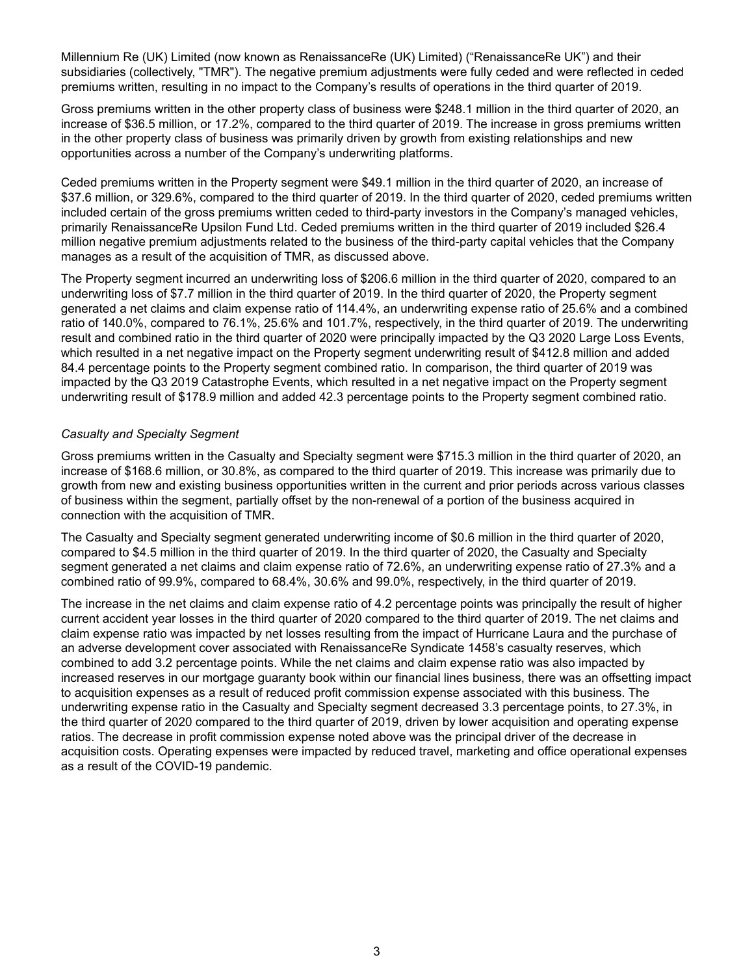Millennium Re (UK) Limited (now known as RenaissanceRe (UK) Limited) ("RenaissanceRe UK") and their subsidiaries (collectively, "TMR"). The negative premium adjustments were fully ceded and were reflected in ceded premiums written, resulting in no impact to the Company's results of operations in the third quarter of 2019.

Gross premiums written in the other property class of business were \$248.1 million in the third quarter of 2020, an increase of \$36.5 million, or 17.2%, compared to the third quarter of 2019. The increase in gross premiums written in the other property class of business was primarily driven by growth from existing relationships and new opportunities across a number of the Company's underwriting platforms.

Ceded premiums written in the Property segment were \$49.1 million in the third quarter of 2020, an increase of \$37.6 million, or 329.6%, compared to the third quarter of 2019. In the third quarter of 2020, ceded premiums written included certain of the gross premiums written ceded to third-party investors in the Company's managed vehicles, primarily RenaissanceRe Upsilon Fund Ltd. Ceded premiums written in the third quarter of 2019 included \$26.4 million negative premium adjustments related to the business of the third-party capital vehicles that the Company manages as a result of the acquisition of TMR, as discussed above.

The Property segment incurred an underwriting loss of \$206.6 million in the third quarter of 2020, compared to an underwriting loss of \$7.7 million in the third quarter of 2019. In the third quarter of 2020, the Property segment generated a net claims and claim expense ratio of 114.4%, an underwriting expense ratio of 25.6% and a combined ratio of 140.0%, compared to 76.1%, 25.6% and 101.7%, respectively, in the third quarter of 2019. The underwriting result and combined ratio in the third quarter of 2020 were principally impacted by the Q3 2020 Large Loss Events, which resulted in a net negative impact on the Property segment underwriting result of \$412.8 million and added 84.4 percentage points to the Property segment combined ratio. In comparison, the third quarter of 2019 was impacted by the Q3 2019 Catastrophe Events, which resulted in a net negative impact on the Property segment underwriting result of \$178.9 million and added 42.3 percentage points to the Property segment combined ratio.

#### *Casualty and Specialty Segment*

Gross premiums written in the Casualty and Specialty segment were \$715.3 million in the third quarter of 2020, an increase of \$168.6 million, or 30.8%, as compared to the third quarter of 2019. This increase was primarily due to growth from new and existing business opportunities written in the current and prior periods across various classes of business within the segment, partially offset by the non-renewal of a portion of the business acquired in connection with the acquisition of TMR.

The Casualty and Specialty segment generated underwriting income of \$0.6 million in the third quarter of 2020, compared to \$4.5 million in the third quarter of 2019. In the third quarter of 2020, the Casualty and Specialty segment generated a net claims and claim expense ratio of 72.6%, an underwriting expense ratio of 27.3% and a combined ratio of 99.9%, compared to 68.4%, 30.6% and 99.0%, respectively, in the third quarter of 2019.

The increase in the net claims and claim expense ratio of 4.2 percentage points was principally the result of higher current accident year losses in the third quarter of 2020 compared to the third quarter of 2019. The net claims and claim expense ratio was impacted by net losses resulting from the impact of Hurricane Laura and the purchase of an adverse development cover associated with RenaissanceRe Syndicate 1458's casualty reserves, which combined to add 3.2 percentage points. While the net claims and claim expense ratio was also impacted by increased reserves in our mortgage guaranty book within our financial lines business, there was an offsetting impact to acquisition expenses as a result of reduced profit commission expense associated with this business. The underwriting expense ratio in the Casualty and Specialty segment decreased 3.3 percentage points, to 27.3%, in the third quarter of 2020 compared to the third quarter of 2019, driven by lower acquisition and operating expense ratios. The decrease in profit commission expense noted above was the principal driver of the decrease in acquisition costs. Operating expenses were impacted by reduced travel, marketing and office operational expenses as a result of the COVID-19 pandemic.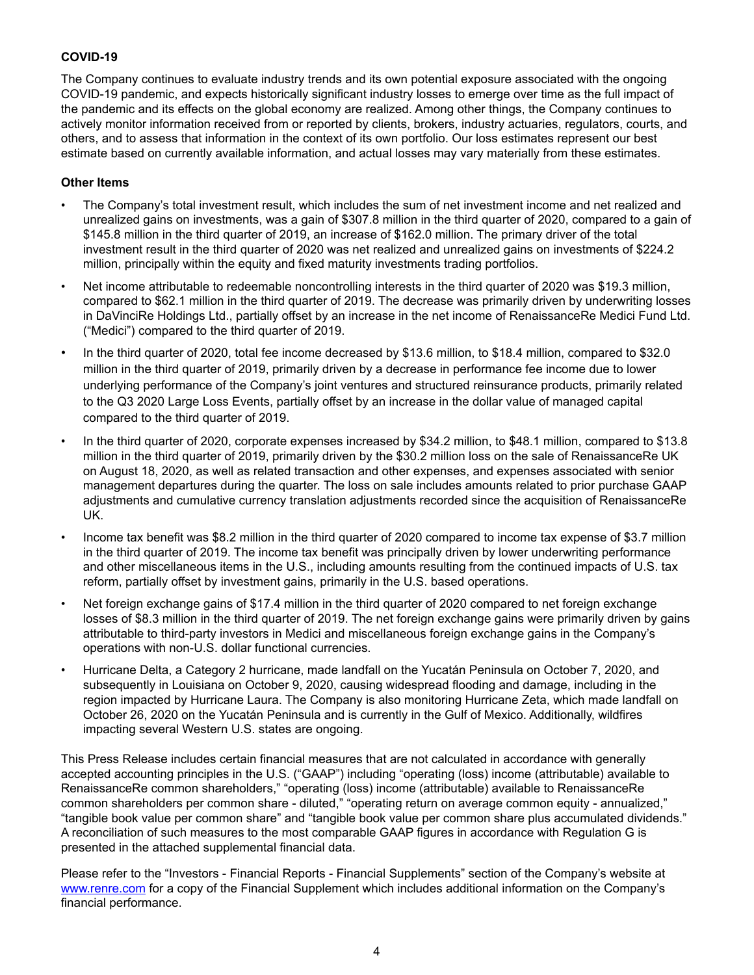## **COVID-19**

The Company continues to evaluate industry trends and its own potential exposure associated with the ongoing COVID-19 pandemic, and expects historically significant industry losses to emerge over time as the full impact of the pandemic and its effects on the global economy are realized. Among other things, the Company continues to actively monitor information received from or reported by clients, brokers, industry actuaries, regulators, courts, and others, and to assess that information in the context of its own portfolio. Our loss estimates represent our best estimate based on currently available information, and actual losses may vary materially from these estimates.

#### **Other Items**

- The Company's total investment result, which includes the sum of net investment income and net realized and unrealized gains on investments, was a gain of \$307.8 million in the third quarter of 2020, compared to a gain of \$145.8 million in the third quarter of 2019, an increase of \$162.0 million. The primary driver of the total investment result in the third quarter of 2020 was net realized and unrealized gains on investments of \$224.2 million, principally within the equity and fixed maturity investments trading portfolios.
- Net income attributable to redeemable noncontrolling interests in the third quarter of 2020 was \$19.3 million, compared to \$62.1 million in the third quarter of 2019. The decrease was primarily driven by underwriting losses in DaVinciRe Holdings Ltd., partially offset by an increase in the net income of RenaissanceRe Medici Fund Ltd. ("Medici") compared to the third quarter of 2019.
- In the third quarter of 2020, total fee income decreased by \$13.6 million, to \$18.4 million, compared to \$32.0 million in the third quarter of 2019, primarily driven by a decrease in performance fee income due to lower underlying performance of the Company's joint ventures and structured reinsurance products, primarily related to the Q3 2020 Large Loss Events, partially offset by an increase in the dollar value of managed capital compared to the third quarter of 2019.
- In the third quarter of 2020, corporate expenses increased by \$34.2 million, to \$48.1 million, compared to \$13.8 million in the third quarter of 2019, primarily driven by the \$30.2 million loss on the sale of RenaissanceRe UK on August 18, 2020, as well as related transaction and other expenses, and expenses associated with senior management departures during the quarter. The loss on sale includes amounts related to prior purchase GAAP adjustments and cumulative currency translation adjustments recorded since the acquisition of RenaissanceRe UK.
- Income tax benefit was \$8.2 million in the third quarter of 2020 compared to income tax expense of \$3.7 million in the third quarter of 2019. The income tax benefit was principally driven by lower underwriting performance and other miscellaneous items in the U.S., including amounts resulting from the continued impacts of U.S. tax reform, partially offset by investment gains, primarily in the U.S. based operations.
- Net foreign exchange gains of \$17.4 million in the third quarter of 2020 compared to net foreign exchange losses of \$8.3 million in the third quarter of 2019. The net foreign exchange gains were primarily driven by gains attributable to third-party investors in Medici and miscellaneous foreign exchange gains in the Company's operations with non-U.S. dollar functional currencies.
- Hurricane Delta, a Category 2 hurricane, made landfall on the Yucatán Peninsula on October 7, 2020, and subsequently in Louisiana on October 9, 2020, causing widespread flooding and damage, including in the region impacted by Hurricane Laura. The Company is also monitoring Hurricane Zeta, which made landfall on October 26, 2020 on the Yucatán Peninsula and is currently in the Gulf of Mexico. Additionally, wildfires impacting several Western U.S. states are ongoing.

This Press Release includes certain financial measures that are not calculated in accordance with generally accepted accounting principles in the U.S. ("GAAP") including "operating (loss) income (attributable) available to RenaissanceRe common shareholders," "operating (loss) income (attributable) available to RenaissanceRe common shareholders per common share - diluted," "operating return on average common equity - annualized," "tangible book value per common share" and "tangible book value per common share plus accumulated dividends." A reconciliation of such measures to the most comparable GAAP figures in accordance with Regulation G is presented in the attached supplemental financial data.

Please refer to the "Investors - Financial Reports - Financial Supplements" section of the Company's website at www.renre.com for a copy of the Financial Supplement which includes additional information on the Company's financial performance.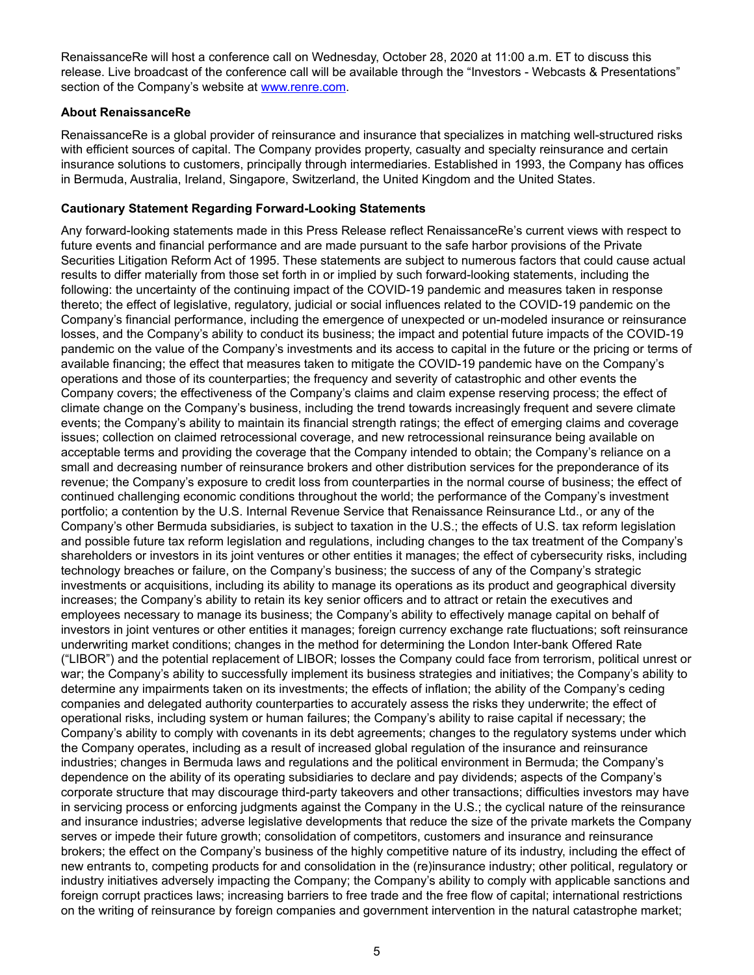RenaissanceRe will host a conference call on Wednesday, October 28, 2020 at 11:00 a.m. ET to discuss this release. Live broadcast of the conference call will be available through the "Investors - Webcasts & Presentations" section of the Company's website at www.renre.com.

#### **About RenaissanceRe**

RenaissanceRe is a global provider of reinsurance and insurance that specializes in matching well-structured risks with efficient sources of capital. The Company provides property, casualty and specialty reinsurance and certain insurance solutions to customers, principally through intermediaries. Established in 1993, the Company has offices in Bermuda, Australia, Ireland, Singapore, Switzerland, the United Kingdom and the United States.

#### **Cautionary Statement Regarding Forward-Looking Statements**

Any forward-looking statements made in this Press Release reflect RenaissanceRe's current views with respect to future events and financial performance and are made pursuant to the safe harbor provisions of the Private Securities Litigation Reform Act of 1995. These statements are subject to numerous factors that could cause actual results to differ materially from those set forth in or implied by such forward-looking statements, including the following: the uncertainty of the continuing impact of the COVID-19 pandemic and measures taken in response thereto; the effect of legislative, regulatory, judicial or social influences related to the COVID-19 pandemic on the Company's financial performance, including the emergence of unexpected or un-modeled insurance or reinsurance losses, and the Company's ability to conduct its business; the impact and potential future impacts of the COVID-19 pandemic on the value of the Company's investments and its access to capital in the future or the pricing or terms of available financing; the effect that measures taken to mitigate the COVID-19 pandemic have on the Company's operations and those of its counterparties; the frequency and severity of catastrophic and other events the Company covers; the effectiveness of the Company's claims and claim expense reserving process; the effect of climate change on the Company's business, including the trend towards increasingly frequent and severe climate events; the Company's ability to maintain its financial strength ratings; the effect of emerging claims and coverage issues; collection on claimed retrocessional coverage, and new retrocessional reinsurance being available on acceptable terms and providing the coverage that the Company intended to obtain; the Company's reliance on a small and decreasing number of reinsurance brokers and other distribution services for the preponderance of its revenue; the Company's exposure to credit loss from counterparties in the normal course of business; the effect of continued challenging economic conditions throughout the world; the performance of the Company's investment portfolio; a contention by the U.S. Internal Revenue Service that Renaissance Reinsurance Ltd., or any of the Company's other Bermuda subsidiaries, is subject to taxation in the U.S.; the effects of U.S. tax reform legislation and possible future tax reform legislation and regulations, including changes to the tax treatment of the Company's shareholders or investors in its joint ventures or other entities it manages; the effect of cybersecurity risks, including technology breaches or failure, on the Company's business; the success of any of the Company's strategic investments or acquisitions, including its ability to manage its operations as its product and geographical diversity increases; the Company's ability to retain its key senior officers and to attract or retain the executives and employees necessary to manage its business; the Company's ability to effectively manage capital on behalf of investors in joint ventures or other entities it manages; foreign currency exchange rate fluctuations; soft reinsurance underwriting market conditions; changes in the method for determining the London Inter-bank Offered Rate ("LIBOR") and the potential replacement of LIBOR; losses the Company could face from terrorism, political unrest or war; the Company's ability to successfully implement its business strategies and initiatives; the Company's ability to determine any impairments taken on its investments; the effects of inflation; the ability of the Company's ceding companies and delegated authority counterparties to accurately assess the risks they underwrite; the effect of operational risks, including system or human failures; the Company's ability to raise capital if necessary; the Company's ability to comply with covenants in its debt agreements; changes to the regulatory systems under which the Company operates, including as a result of increased global regulation of the insurance and reinsurance industries; changes in Bermuda laws and regulations and the political environment in Bermuda; the Company's dependence on the ability of its operating subsidiaries to declare and pay dividends; aspects of the Company's corporate structure that may discourage third-party takeovers and other transactions; difficulties investors may have in servicing process or enforcing judgments against the Company in the U.S.; the cyclical nature of the reinsurance and insurance industries; adverse legislative developments that reduce the size of the private markets the Company serves or impede their future growth; consolidation of competitors, customers and insurance and reinsurance brokers; the effect on the Company's business of the highly competitive nature of its industry, including the effect of new entrants to, competing products for and consolidation in the (re)insurance industry; other political, regulatory or industry initiatives adversely impacting the Company; the Company's ability to comply with applicable sanctions and foreign corrupt practices laws; increasing barriers to free trade and the free flow of capital; international restrictions on the writing of reinsurance by foreign companies and government intervention in the natural catastrophe market;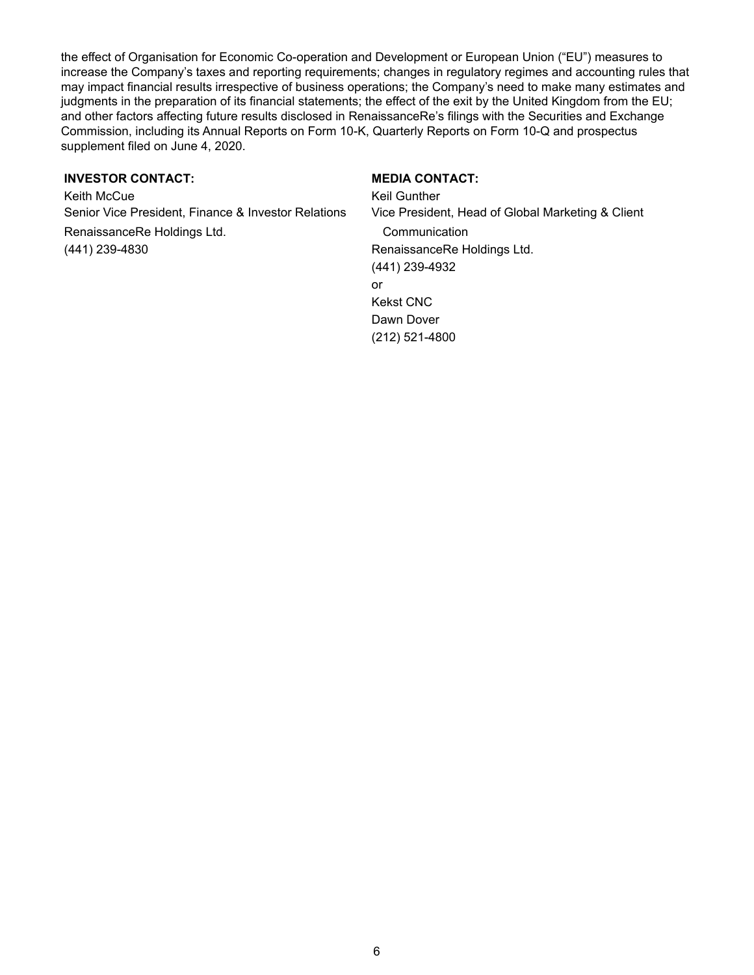the effect of Organisation for Economic Co-operation and Development or European Union ("EU") measures to increase the Company's taxes and reporting requirements; changes in regulatory regimes and accounting rules that may impact financial results irrespective of business operations; the Company's need to make many estimates and judgments in the preparation of its financial statements; the effect of the exit by the United Kingdom from the EU; and other factors affecting future results disclosed in RenaissanceRe's filings with the Securities and Exchange Commission, including its Annual Reports on Form 10-K, Quarterly Reports on Form 10-Q and prospectus supplement filed on June 4, 2020.

### **INVESTOR CONTACT: MEDIA CONTACT:**

Keith McCue **Keil Gunther** Keil Gunther Senior Vice President, Finance & Investor Relations Vice President, Head of Global Marketing & Client RenaissanceRe Holdings Ltd. Communication (441) 239-4830 RenaissanceRe Holdings Ltd.

(441) 239-4932 or Kekst CNC Dawn Dover (212) 521-4800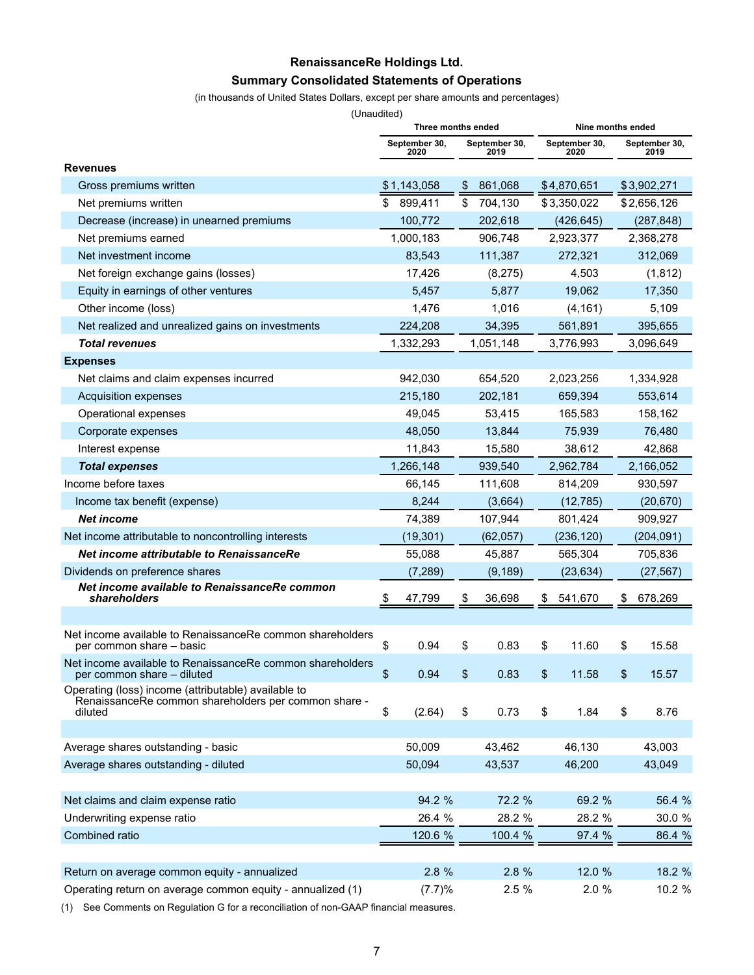# **RenaissanceRe Holdings Ltd. Summary Consolidated Statements of Operations**

#### (in thousands of United States Dollars, except per share amounts and percentages)

(Unaudited)

|                                                                                                             | Three months ended    |                       | Nine months ended     |    |                       |  |  |
|-------------------------------------------------------------------------------------------------------------|-----------------------|-----------------------|-----------------------|----|-----------------------|--|--|
|                                                                                                             | September 30.<br>2020 | September 30.<br>2019 | September 30,<br>2020 |    | September 30,<br>2019 |  |  |
| <b>Revenues</b>                                                                                             |                       |                       |                       |    |                       |  |  |
| Gross premiums written                                                                                      | \$1,143,058           | \$<br>861,068         | \$4,870,651           |    | \$3,902,271           |  |  |
| Net premiums written                                                                                        | \$<br>899.411         | \$<br>704.130         | \$3,350,022           |    | \$2,656,126           |  |  |
| Decrease (increase) in unearned premiums                                                                    | 100,772               | 202,618               | (426, 645)            |    | (287, 848)            |  |  |
| Net premiums earned                                                                                         | 1,000,183             | 906,748               | 2,923,377             |    | 2,368,278             |  |  |
| Net investment income                                                                                       | 83,543                | 111,387               | 272,321               |    | 312,069               |  |  |
| Net foreign exchange gains (losses)                                                                         | 17,426                | (8,275)               | 4,503                 |    | (1, 812)              |  |  |
| Equity in earnings of other ventures                                                                        | 5,457                 | 5,877                 | 19,062                |    | 17,350                |  |  |
| Other income (loss)                                                                                         | 1,476                 | 1,016                 | (4, 161)              |    | 5,109                 |  |  |
| Net realized and unrealized gains on investments                                                            | 224,208               | 34,395                | 561,891               |    | 395,655               |  |  |
| <b>Total revenues</b>                                                                                       | 1,332,293             | 1,051,148             | 3,776,993             |    | 3,096,649             |  |  |
| <b>Expenses</b>                                                                                             |                       |                       |                       |    |                       |  |  |
| Net claims and claim expenses incurred                                                                      | 942,030               | 654,520               | 2,023,256             |    | 1,334,928             |  |  |
| <b>Acquisition expenses</b>                                                                                 | 215,180               | 202,181               | 659,394               |    | 553,614               |  |  |
| Operational expenses                                                                                        | 49,045                | 53,415                | 165,583               |    | 158,162               |  |  |
| Corporate expenses                                                                                          | 48,050                | 13,844                | 75,939                |    | 76,480                |  |  |
| Interest expense                                                                                            | 11,843                | 15,580                | 38,612                |    | 42,868                |  |  |
| <b>Total expenses</b>                                                                                       | 1,266,148             | 939,540               | 2,962,784             |    | 2,166,052             |  |  |
| Income before taxes                                                                                         | 66,145                | 111,608               | 814,209               |    | 930,597               |  |  |
| Income tax benefit (expense)                                                                                | 8,244                 | (3,664)               | (12, 785)             |    | (20, 670)             |  |  |
| <b>Net income</b>                                                                                           | 74,389                | 107,944               | 801,424               |    | 909,927               |  |  |
| Net income attributable to noncontrolling interests                                                         | (19, 301)             | (62,057)              | (236, 120)            |    | (204, 091)            |  |  |
| Net income attributable to RenaissanceRe                                                                    | 55,088                | 45,887                | 565,304               |    | 705,836               |  |  |
| Dividends on preference shares                                                                              | (7, 289)              | (9, 189)              | (23, 634)             |    | (27, 567)             |  |  |
| Net income available to RenaissanceRe common<br>shareholders                                                | \$<br>47,799          | \$<br>36,698          | \$<br>541,670         | \$ | 678,269               |  |  |
|                                                                                                             |                       |                       |                       |    |                       |  |  |
| Net income available to RenaissanceRe common shareholders<br>per common share - basic                       | \$<br>0.94            | \$<br>0.83            | \$<br>11.60           | \$ | 15.58                 |  |  |
| Net income available to RenaissanceRe common shareholders<br>per common share – diluted                     | \$<br>0.94            | \$<br>0.83            | \$<br>11.58           | \$ | 15.57                 |  |  |
| Operating (loss) income (attributable) available to<br>RenaissanceRe common shareholders per common share - |                       |                       |                       |    |                       |  |  |
| diluted                                                                                                     | \$<br>(2.64)          | \$<br>0.73            | \$<br>1.84            | \$ | 8.76                  |  |  |
|                                                                                                             |                       |                       |                       |    |                       |  |  |
| Average shares outstanding - basic                                                                          | 50,009                | 43,462                | 46,130                |    | 43,003                |  |  |
| Average shares outstanding - diluted                                                                        | 50,094                | 43,537                | 46,200                |    | 43,049                |  |  |
| Net claims and claim expense ratio                                                                          | 94.2 %                | 72.2 %                | 69.2 %                |    | 56.4 %                |  |  |
| Underwriting expense ratio                                                                                  | 26.4 %                | 28.2 %                | 28.2 %                |    | 30.0 %                |  |  |
| Combined ratio                                                                                              | 120.6 %               | 100.4 %               | 97.4 %                |    | 86.4 %                |  |  |
|                                                                                                             |                       |                       |                       |    |                       |  |  |
| Return on average common equity - annualized                                                                | 2.8 %                 | 2.8 %                 | 12.0 %                |    | 18.2 %                |  |  |
| Operating return on average common equity - annualized (1)                                                  | (7.7)%                | 2.5 %                 | 2.0 %                 |    | 10.2 %                |  |  |

(1) See Comments on Regulation G for a reconciliation of non-GAAP financial measures.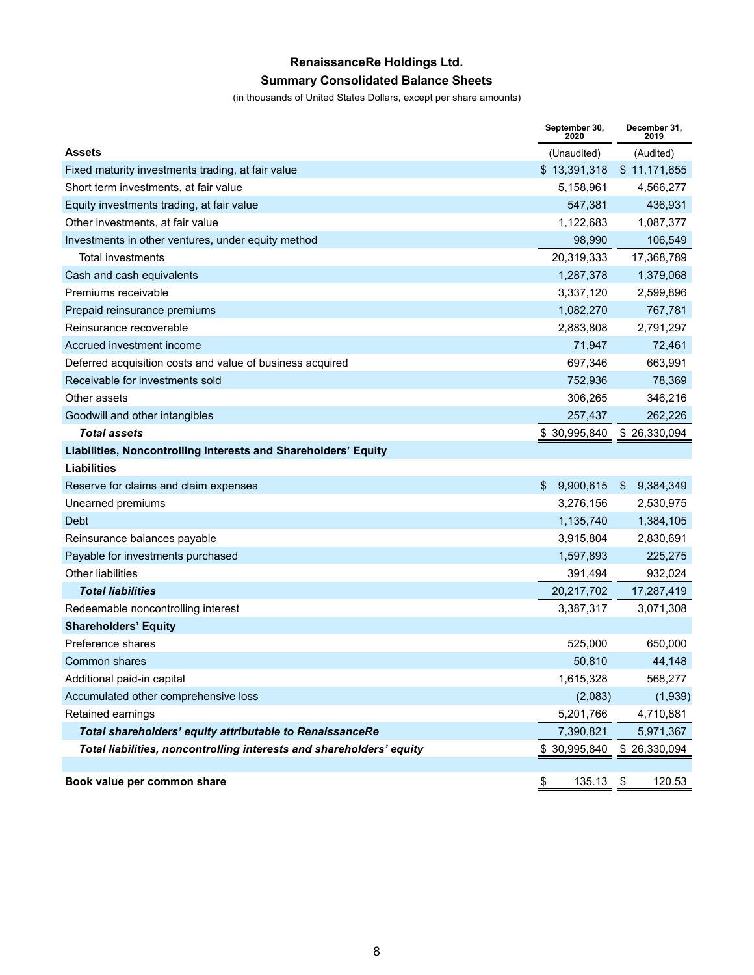# **RenaissanceRe Holdings Ltd.**

# **Summary Consolidated Balance Sheets**

(in thousands of United States Dollars, except per share amounts)

|                                                                      | September 30,<br>2020 | December 31,<br>2019 |
|----------------------------------------------------------------------|-----------------------|----------------------|
| <b>Assets</b>                                                        | (Unaudited)           | (Audited)            |
| Fixed maturity investments trading, at fair value                    | \$13,391,318          | \$11,171,655         |
| Short term investments, at fair value                                | 5,158,961             | 4,566,277            |
| Equity investments trading, at fair value                            | 547,381               | 436,931              |
| Other investments, at fair value                                     | 1,122,683             | 1,087,377            |
| Investments in other ventures, under equity method                   | 98,990                | 106,549              |
| <b>Total investments</b>                                             | 20,319,333            | 17,368,789           |
| Cash and cash equivalents                                            | 1,287,378             | 1,379,068            |
| Premiums receivable                                                  | 3,337,120             | 2,599,896            |
| Prepaid reinsurance premiums                                         | 1,082,270             | 767,781              |
| Reinsurance recoverable                                              | 2,883,808             | 2,791,297            |
| Accrued investment income                                            | 71,947                | 72,461               |
| Deferred acquisition costs and value of business acquired            | 697,346               | 663,991              |
| Receivable for investments sold                                      | 752,936               | 78,369               |
| Other assets                                                         | 306,265               | 346,216              |
| Goodwill and other intangibles                                       | 257,437               | 262,226              |
| <b>Total assets</b>                                                  | \$30,995,840          | \$26,330,094         |
| Liabilities, Noncontrolling Interests and Shareholders' Equity       |                       |                      |
| <b>Liabilities</b>                                                   |                       |                      |
| Reserve for claims and claim expenses                                | \$<br>9,900,615       | 9,384,349<br>\$      |
| Unearned premiums                                                    | 3,276,156             | 2,530,975            |
| Debt                                                                 | 1,135,740             | 1,384,105            |
| Reinsurance balances payable                                         | 3,915,804             | 2,830,691            |
| Payable for investments purchased                                    | 1,597,893             | 225,275              |
| <b>Other liabilities</b>                                             | 391,494               | 932,024              |
| <b>Total liabilities</b>                                             | 20,217,702            | 17,287,419           |
| Redeemable noncontrolling interest                                   | 3,387,317             | 3,071,308            |
| <b>Shareholders' Equity</b>                                          |                       |                      |
| Preference shares                                                    | 525,000               | 650,000              |
| Common shares                                                        | 50,810                | 44,148               |
| Additional paid-in capital                                           | 1,615,328             | 568,277              |
| Accumulated other comprehensive loss                                 | (2,083)               | (1,939)              |
| Retained earnings                                                    | 5,201,766             | 4,710,881            |
| Total shareholders' equity attributable to RenaissanceRe             | 7,390,821             | 5,971,367            |
| Total liabilities, noncontrolling interests and shareholders' equity | \$30,995,840          | \$26,330,094         |
|                                                                      |                       |                      |
| Book value per common share                                          | \$<br>135.13 \$       | 120.53               |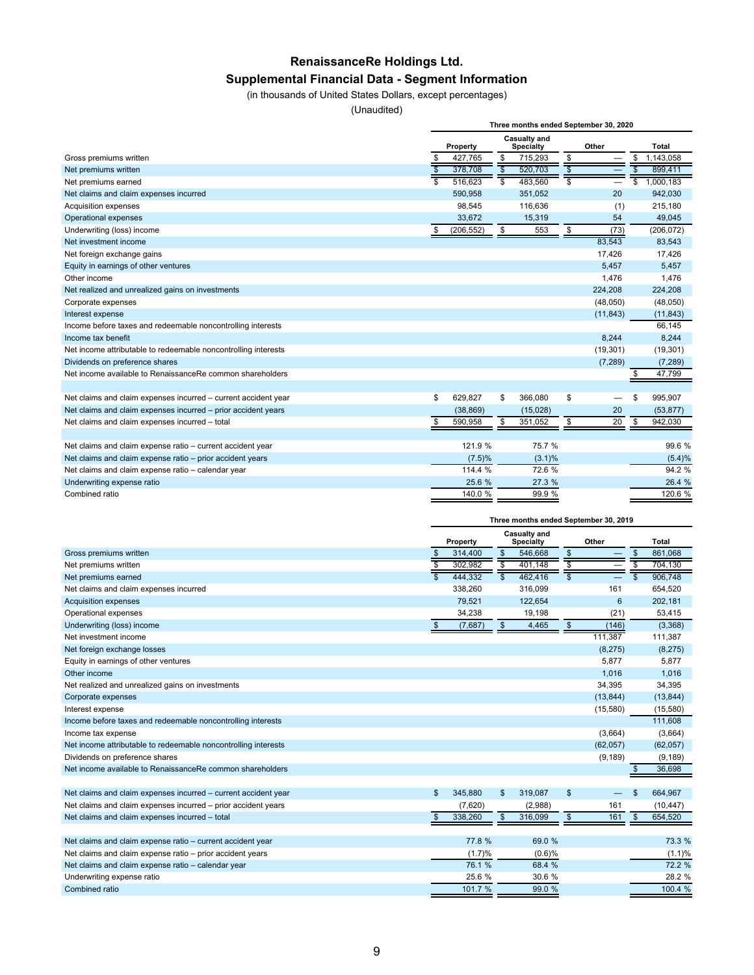## **RenaissanceRe Holdings Ltd. Supplemental Financial Data - Segment Information**

(in thousands of United States Dollars, except percentages)

(Unaudited)

|                                                                |                  | Three months ended September 30, 2020   |            |                 |            |
|----------------------------------------------------------------|------------------|-----------------------------------------|------------|-----------------|------------|
|                                                                | Property         | <b>Casualty and</b><br><b>Specialty</b> | Other      |                 | Total      |
| Gross premiums written                                         | \$<br>427.765    | \$<br>715,293                           | \$         | \$              | 1,143,058  |
| Net premiums written                                           | 378,708          | 520,703                                 |            | $\overline{\$}$ | 899,411    |
| Net premiums earned                                            | 516,623          | 483,560                                 |            |                 | 1,000,183  |
| Net claims and claim expenses incurred                         | 590,958          | 351,052                                 | 20         |                 | 942,030    |
| Acquisition expenses                                           | 98,545           | 116,636                                 | (1)        |                 | 215,180    |
| Operational expenses                                           | 33,672           | 15.319                                  | 54         |                 | 49.045     |
| Underwriting (loss) income                                     | \$<br>(206, 552) | \$<br>553                               | \$<br>(73) |                 | (206, 072) |
| Net investment income                                          |                  |                                         | 83,543     |                 | 83,543     |
| Net foreign exchange gains                                     |                  |                                         | 17,426     |                 | 17,426     |
| Equity in earnings of other ventures                           |                  |                                         | 5,457      |                 | 5,457      |
| Other income                                                   |                  |                                         | 1,476      |                 | 1,476      |
| Net realized and unrealized gains on investments               |                  |                                         | 224,208    |                 | 224,208    |
| Corporate expenses                                             |                  |                                         | (48,050)   |                 | (48,050)   |
| Interest expense                                               |                  |                                         | (11, 843)  |                 | (11, 843)  |
| Income before taxes and redeemable noncontrolling interests    |                  |                                         |            |                 | 66,145     |
| Income tax benefit                                             |                  |                                         | 8.244      |                 | 8,244      |
| Net income attributable to redeemable noncontrolling interests |                  |                                         | (19, 301)  |                 | (19, 301)  |
| Dividends on preference shares                                 |                  |                                         | (7, 289)   |                 | (7, 289)   |
| Net income available to RenaissanceRe common shareholders      |                  |                                         |            | S               | 47,799     |
|                                                                |                  |                                         |            |                 |            |
| Net claims and claim expenses incurred - current accident year | \$<br>629,827    | \$<br>366,080                           | \$         | \$              | 995,907    |
| Net claims and claim expenses incurred - prior accident years  | (38, 869)        | (15,028)                                | 20         |                 | (53, 877)  |
| Net claims and claim expenses incurred - total                 | \$<br>590,958    | \$<br>351,052                           | \$<br>20   | \$              | 942,030    |
|                                                                |                  |                                         |            |                 |            |
| Net claims and claim expense ratio - current accident year     | 121.9 %          | 75.7 %                                  |            |                 | 99.6%      |
| Net claims and claim expense ratio - prior accident years      | (7.5)%           | $(3.1)\%$                               |            |                 | (5.4)%     |
| Net claims and claim expense ratio - calendar year             | 114.4 %          | 72.6 %                                  |            |                 | 94.2 %     |
| Underwriting expense ratio                                     | 25.6 %           | 27.3 %                                  |            |                 | 26.4 %     |
| Combined ratio                                                 | 140.0 %          | 99.9 %                                  |            |                 | 120.6 %    |
|                                                                |                  |                                         |            |                 |            |
|                                                                |                  | Three months ended September 30, 2019   |            |                 |            |

|                                                                |               | Property |                | Casualty and<br><b>Specialty</b> |                         | Other           | Total         |
|----------------------------------------------------------------|---------------|----------|----------------|----------------------------------|-------------------------|-----------------|---------------|
| Gross premiums written                                         | \$            | 314,400  | \$             | 546,668                          | \$                      |                 | \$<br>861,068 |
| Net premiums written                                           |               | 302,982  | Ŝ.             | 401,148                          | S                       | $\qquad \qquad$ | \$<br>704,130 |
| Net premiums earned                                            |               | 444.332  |                | 462,416                          | $\overline{\mathbb{S}}$ |                 | 906,748       |
| Net claims and claim expenses incurred                         |               | 338.260  |                | 316.099                          |                         | 161             | 654,520       |
| <b>Acquisition expenses</b>                                    |               | 79,521   |                | 122,654                          |                         | 6               | 202,181       |
| Operational expenses                                           |               | 34,238   |                | 19.198                           |                         | (21)            | 53.415        |
| Underwriting (loss) income                                     | $\sqrt[6]{3}$ | (7,687)  | $\mathfrak{S}$ | 4,465                            | $\frac{1}{2}$           | (146)           | (3,368)       |
| Net investment income                                          |               |          |                |                                  |                         | 111,387         | 111,387       |
| Net foreign exchange losses                                    |               |          |                |                                  |                         | (8, 275)        | (8, 275)      |
| Equity in earnings of other ventures                           |               |          |                |                                  |                         | 5,877           | 5,877         |
| Other income                                                   |               |          |                |                                  |                         | 1,016           | 1,016         |
| Net realized and unrealized gains on investments               |               |          |                |                                  |                         | 34,395          | 34,395        |
| Corporate expenses                                             |               |          |                |                                  |                         | (13, 844)       | (13, 844)     |
| Interest expense                                               |               |          |                |                                  |                         | (15,580)        | (15,580)      |
| Income before taxes and redeemable noncontrolling interests    |               |          |                |                                  |                         |                 | 111,608       |
| Income tax expense                                             |               |          |                |                                  |                         | (3,664)         | (3,664)       |
| Net income attributable to redeemable noncontrolling interests |               |          |                |                                  |                         | (62,057)        | (62,057)      |
| Dividends on preference shares                                 |               |          |                |                                  |                         | (9, 189)        | (9, 189)      |
| Net income available to RenaissanceRe common shareholders      |               |          |                |                                  |                         |                 | \$<br>36,698  |
|                                                                |               |          |                |                                  |                         |                 |               |
| Net claims and claim expenses incurred - current accident year | \$            | 345,880  | \$             | 319,087                          | \$                      |                 | \$<br>664,967 |
| Net claims and claim expenses incurred - prior accident years  |               | (7,620)  |                | (2,988)                          |                         | 161             | (10, 447)     |
| Net claims and claim expenses incurred - total                 | \$            | 338,260  | \$             | 316,099                          | \$                      | 161             | \$<br>654,520 |
|                                                                |               |          |                |                                  |                         |                 |               |
| Net claims and claim expense ratio - current accident year     |               | 77.8 %   |                | 69.0 %                           |                         |                 | 73.3 %        |
| Net claims and claim expense ratio - prior accident years      |               | (1.7)%   |                | $(0.6)$ %                        |                         |                 | (1.1)%        |
| Net claims and claim expense ratio - calendar year             |               | 76.1 %   |                | 68.4 %                           |                         |                 | 72.2 %        |
| Underwriting expense ratio                                     |               | 25.6 %   |                | 30.6 %                           |                         |                 | 28.2 %        |
| Combined ratio                                                 |               | 101.7 %  |                | 99.0 %                           |                         |                 | 100.4 %       |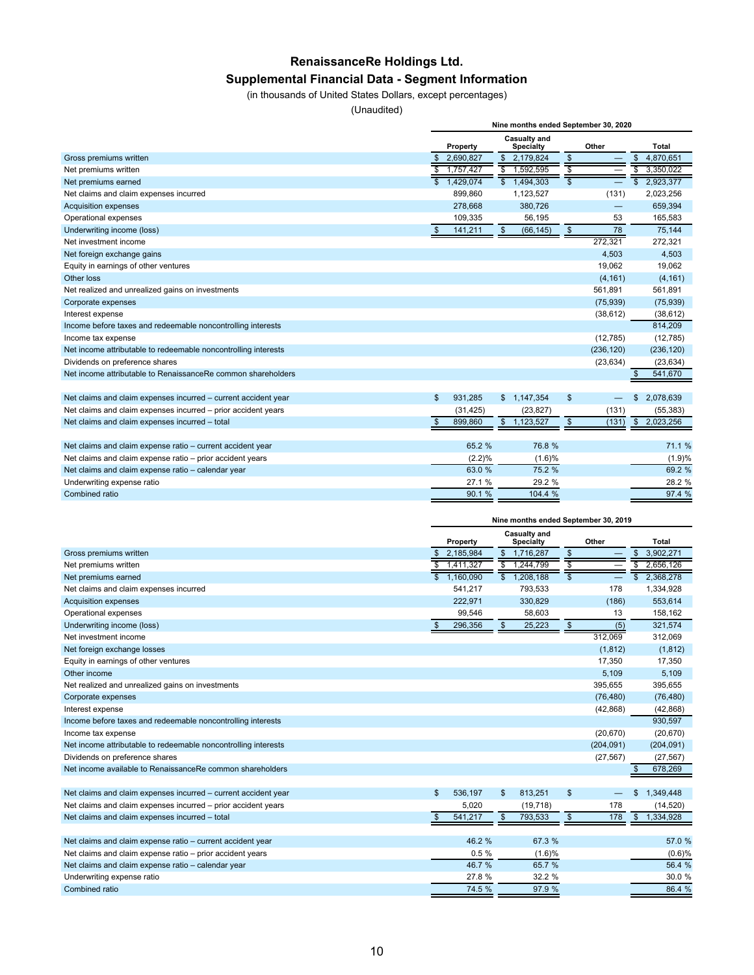# **RenaissanceRe Holdings Ltd.**

# **Supplemental Financial Data - Segment Information**

(in thousands of United States Dollars, except percentages)

(Unaudited)

|                                                                |                         |           |                | Nine months ended September 30, 2020 |                         |                          |                         |             |
|----------------------------------------------------------------|-------------------------|-----------|----------------|--------------------------------------|-------------------------|--------------------------|-------------------------|-------------|
|                                                                |                         | Property  |                | Casualty and<br><b>Specialty</b>     |                         | Other                    |                         | Total       |
| Gross premiums written                                         |                         | 2.690.827 | $\mathbb{S}$   | 2,179,824                            | $\sqrt[6]{\frac{1}{2}}$ |                          | \$                      | 4,870,651   |
| Net premiums written                                           | \$                      | 1,757,427 | \$             | 1,592,595                            |                         |                          | \$                      | 3,350,022   |
| Net premiums earned                                            | $\overline{\mathbb{S}}$ | 1,429,074 |                | \$1,494,303                          |                         |                          | $\overline{\mathbb{S}}$ | 2,923,377   |
| Net claims and claim expenses incurred                         |                         | 899,860   |                | 1,123,527                            |                         | (131)                    |                         | 2,023,256   |
| <b>Acquisition expenses</b>                                    |                         | 278.668   |                | 380.726                              |                         | $\overline{\phantom{0}}$ |                         | 659,394     |
| Operational expenses                                           |                         | 109,335   |                | 56.195                               |                         | 53                       |                         | 165,583     |
| Underwriting income (loss)                                     | $\sqrt[6]{3}$           | 141,211   | $$\mathbb{S}$$ | (66, 145)                            | $\sqrt[6]{\frac{1}{2}}$ | 78                       |                         | 75,144      |
| Net investment income                                          |                         |           |                |                                      |                         | 272,321                  |                         | 272,321     |
| Net foreign exchange gains                                     |                         |           |                |                                      |                         | 4,503                    |                         | 4,503       |
| Equity in earnings of other ventures                           |                         |           |                |                                      |                         | 19,062                   |                         | 19,062      |
| Other loss                                                     |                         |           |                |                                      |                         | (4, 161)                 |                         | (4, 161)    |
| Net realized and unrealized gains on investments               |                         |           |                |                                      |                         | 561,891                  |                         | 561,891     |
| Corporate expenses                                             |                         |           |                |                                      |                         | (75, 939)                |                         | (75, 939)   |
| Interest expense                                               |                         |           |                |                                      |                         | (38, 612)                |                         | (38, 612)   |
| Income before taxes and redeemable noncontrolling interests    |                         |           |                |                                      |                         |                          |                         | 814,209     |
| Income tax expense                                             |                         |           |                |                                      |                         | (12, 785)                |                         | (12, 785)   |
| Net income attributable to redeemable noncontrolling interests |                         |           |                |                                      |                         | (236, 120)               |                         | (236, 120)  |
| Dividends on preference shares                                 |                         |           |                |                                      |                         | (23, 634)                |                         | (23, 634)   |
| Net income attributable to RenaissanceRe common shareholders   |                         |           |                |                                      |                         |                          | \$.                     | 541,670     |
| Net claims and claim expenses incurred - current accident year | $\mathbf{\$}$           | 931.285   |                | \$1.147.354                          | $\sqrt[6]{3}$           |                          | \$                      | 2,078,639   |
| Net claims and claim expenses incurred - prior accident years  |                         | (31, 425) |                | (23, 827)                            |                         | (131)                    |                         | (55, 383)   |
| Net claims and claim expenses incurred - total                 | $\mathfrak{s}$          | 899,860   | $\mathbb{S}$   | 1,123,527                            | $\sqrt[6]{3}$           | (131)                    |                         | \$2,023,256 |
| Net claims and claim expense ratio - current accident year     |                         | 65.2 %    |                | 76.8 %                               |                         |                          |                         | 71.1 %      |
| Net claims and claim expense ratio - prior accident years      |                         | (2.2)%    |                | (1.6)%                               |                         |                          |                         | (1.9)%      |
| Net claims and claim expense ratio - calendar year             |                         | 63.0 %    |                | 75.2 %                               |                         |                          |                         | 69.2 %      |
| Underwriting expense ratio                                     |                         | 27.1 %    |                | 29.2 %                               |                         |                          |                         | 28.2 %      |
| Combined ratio                                                 |                         | 90.1 %    |                | 104.4 %                              |                         |                          |                         | 97.4 %      |
|                                                                |                         |           |                |                                      |                         |                          |                         |             |

|                                                                | Nine months ended September 30, 2019 |           |               |                                  |                         |            |                |              |
|----------------------------------------------------------------|--------------------------------------|-----------|---------------|----------------------------------|-------------------------|------------|----------------|--------------|
|                                                                |                                      | Property  |               | Casualty and<br><b>Specialty</b> |                         | Other      |                | <b>Total</b> |
| Gross premiums written                                         |                                      | 2,185,984 |               | 1,716,287                        | \$                      |            | \$             | 3,902,271    |
| Net premiums written                                           |                                      | 1,411,327 | \$            | 1,244,799                        | S                       |            | \$             | 2,656,126    |
| Net premiums earned                                            | $\mathbb{S}$                         | 1,160,090 |               | \$1,208,188                      | $\overline{\mathsf{s}}$ |            | \$             | 2,368,278    |
| Net claims and claim expenses incurred                         |                                      | 541,217   |               | 793,533                          |                         | 178        |                | 1,334,928    |
| <b>Acquisition expenses</b>                                    |                                      | 222,971   |               | 330,829                          |                         | (186)      |                | 553,614      |
| Operational expenses                                           |                                      | 99,546    |               | 58,603                           |                         | 13         |                | 158,162      |
| Underwriting income (loss)                                     | \$                                   | 296,356   | \$            | 25,223                           | \$                      | (5)        |                | 321,574      |
| Net investment income                                          |                                      |           |               |                                  |                         | 312.069    |                | 312,069      |
| Net foreign exchange losses                                    |                                      |           |               |                                  |                         | (1, 812)   |                | (1, 812)     |
| Equity in earnings of other ventures                           |                                      |           |               |                                  |                         | 17,350     |                | 17,350       |
| Other income                                                   |                                      |           |               |                                  |                         | 5,109      |                | 5,109        |
| Net realized and unrealized gains on investments               |                                      |           |               |                                  |                         | 395,655    |                | 395,655      |
| Corporate expenses                                             |                                      |           |               |                                  |                         | (76, 480)  |                | (76, 480)    |
| Interest expense                                               |                                      |           |               |                                  |                         | (42, 868)  |                | (42, 868)    |
| Income before taxes and redeemable noncontrolling interests    |                                      |           |               |                                  |                         |            |                | 930,597      |
| Income tax expense                                             |                                      |           |               |                                  |                         | (20, 670)  |                | (20, 670)    |
| Net income attributable to redeemable noncontrolling interests |                                      |           |               |                                  |                         | (204, 091) |                | (204, 091)   |
| Dividends on preference shares                                 |                                      |           |               |                                  |                         | (27, 567)  |                | (27, 567)    |
| Net income available to RenaissanceRe common shareholders      |                                      |           |               |                                  |                         |            |                | 678,269      |
|                                                                |                                      |           |               |                                  |                         |            |                |              |
| Net claims and claim expenses incurred - current accident year | \$                                   | 536.197   | \$            | 813,251                          | \$                      |            | \$             | 1,349,448    |
| Net claims and claim expenses incurred - prior accident years  |                                      | 5.020     |               | (19, 718)                        |                         | 178        |                | (14, 520)    |
| Net claims and claim expenses incurred - total                 | \$                                   | 541,217   | $\sqrt[6]{3}$ | 793,533                          | \$                      | 178        | $\mathfrak{S}$ | 1,334,928    |
|                                                                |                                      |           |               |                                  |                         |            |                |              |
| Net claims and claim expense ratio - current accident year     |                                      | 46.2 %    |               | 67.3 %                           |                         |            |                | 57.0 %       |
| Net claims and claim expense ratio - prior accident years      |                                      | 0.5%      |               | (1.6)%                           |                         |            |                | $(0.6)$ %    |
| Net claims and claim expense ratio - calendar year             |                                      | 46.7 %    |               | 65.7 %                           |                         |            |                | 56.4 %       |
| Underwriting expense ratio                                     |                                      | 27.8 %    |               | 32.2 %                           |                         |            |                | 30.0 %       |
| Combined ratio                                                 |                                      | 74.5 %    |               | 97.9 %                           |                         |            |                | 86.4 %       |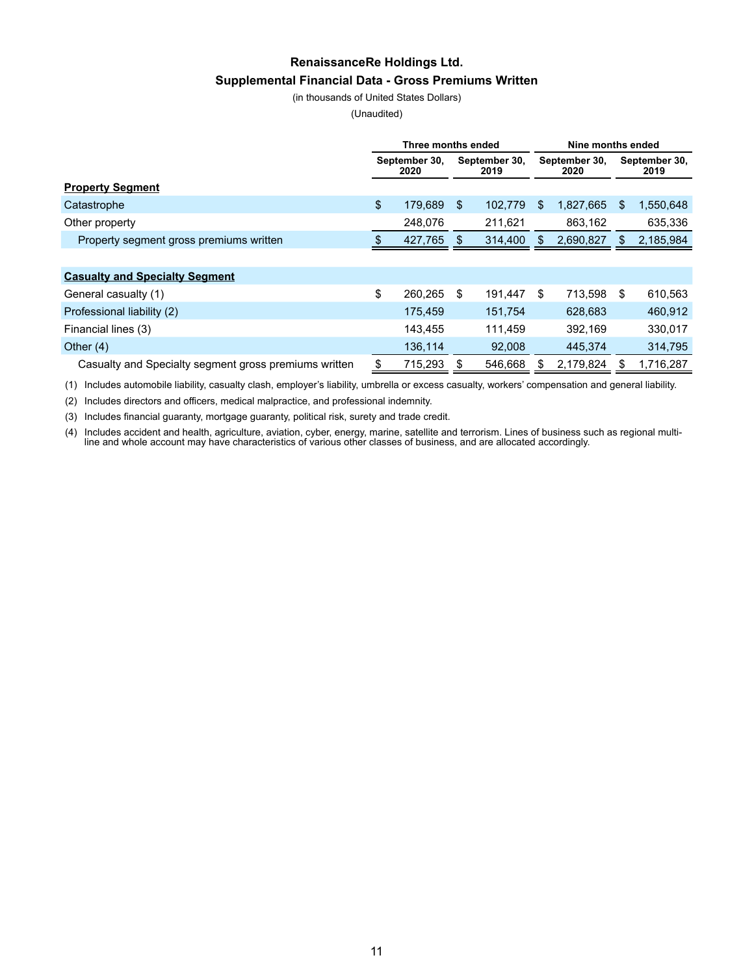## **RenaissanceRe Holdings Ltd. Supplemental Financial Data - Gross Premiums Written**

(in thousands of United States Dollars)

(Unaudited)

|                                                       | Three months ended    |         |    |                       |    | Nine months ended     |     |                       |  |
|-------------------------------------------------------|-----------------------|---------|----|-----------------------|----|-----------------------|-----|-----------------------|--|
|                                                       | September 30,<br>2020 |         |    | September 30,<br>2019 |    | September 30,<br>2020 |     | September 30,<br>2019 |  |
| <b>Property Segment</b>                               |                       |         |    |                       |    |                       |     |                       |  |
| Catastrophe                                           | \$                    | 179.689 | \$ | 102.779               | \$ | 1,827,665             | \$  | 1,550,648             |  |
| Other property                                        |                       | 248,076 |    | 211,621               |    | 863,162               |     | 635,336               |  |
| Property segment gross premiums written               |                       | 427,765 |    | 314,400               |    | 2,690,827             | \$. | 2,185,984             |  |
|                                                       |                       |         |    |                       |    |                       |     |                       |  |
| <b>Casualty and Specialty Segment</b>                 |                       |         |    |                       |    |                       |     |                       |  |
| General casualty (1)                                  | \$                    | 260.265 | \$ | 191.447               | \$ | 713.598               | \$  | 610,563               |  |
| Professional liability (2)                            |                       | 175.459 |    | 151.754               |    | 628.683               |     | 460,912               |  |
| Financial lines (3)                                   |                       | 143.455 |    | 111,459               |    | 392,169               |     | 330,017               |  |
| Other $(4)$                                           |                       | 136,114 |    | 92,008                |    | 445.374               |     | 314,795               |  |
| Casualty and Specialty segment gross premiums written | \$                    | 715,293 |    | 546,668               |    | 2,179,824             | S   | 1,716,287             |  |

(1) Includes automobile liability, casualty clash, employer's liability, umbrella or excess casualty, workers' compensation and general liability.

(2) Includes directors and officers, medical malpractice, and professional indemnity.

(3) Includes financial guaranty, mortgage guaranty, political risk, surety and trade credit.

(4) Includes accident and health, agriculture, aviation, cyber, energy, marine, satellite and terrorism. Lines of business such as regional multiline and whole account may have characteristics of various other classes of business, and are allocated accordingly.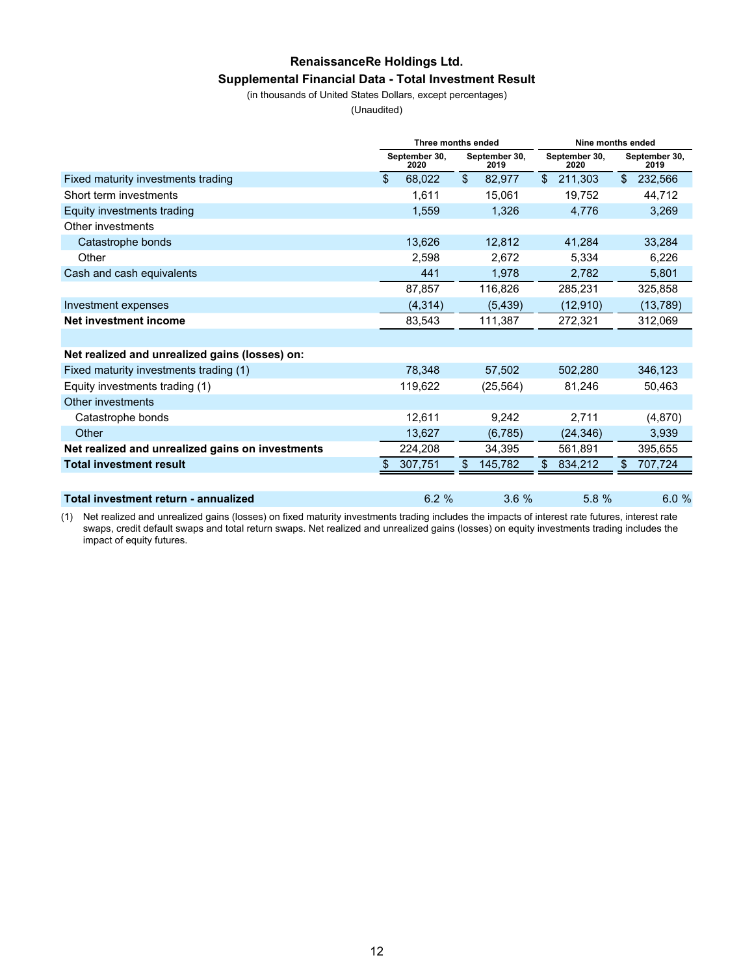# **RenaissanceRe Holdings Ltd. Supplemental Financial Data - Total Investment Result**

(in thousands of United States Dollars, except percentages)

(Unaudited)

|                                                  |                | Three months ended    |                | Nine months ended     |              |                       |                |                       |  |
|--------------------------------------------------|----------------|-----------------------|----------------|-----------------------|--------------|-----------------------|----------------|-----------------------|--|
|                                                  |                | September 30,<br>2020 |                | September 30,<br>2019 |              | September 30,<br>2020 |                | September 30,<br>2019 |  |
| Fixed maturity investments trading               | $\mathfrak{L}$ | 68,022                | $\mathfrak{L}$ | 82,977                | $\mathbb{S}$ | 211,303               | $\mathfrak{L}$ | 232,566               |  |
| Short term investments                           |                | 1,611                 |                | 15.061                |              | 19.752                |                | 44.712                |  |
| Equity investments trading                       |                | 1,559                 |                | 1,326                 |              | 4,776                 |                | 3,269                 |  |
| Other investments                                |                |                       |                |                       |              |                       |                |                       |  |
| Catastrophe bonds                                |                | 13,626                |                | 12,812                |              | 41,284                |                | 33,284                |  |
| Other                                            |                | 2,598                 |                | 2,672                 |              | 5,334                 |                | 6,226                 |  |
| Cash and cash equivalents                        |                | 441                   |                | 1,978                 |              | 2,782                 |                | 5,801                 |  |
|                                                  |                | 87,857                |                | 116,826               |              | 285,231               |                | 325,858               |  |
| Investment expenses                              |                | (4,314)               |                | (5, 439)              |              | (12,910)              |                | (13, 789)             |  |
| Net investment income                            |                | 83,543                |                | 111,387               |              | 272,321               |                | 312,069               |  |
|                                                  |                |                       |                |                       |              |                       |                |                       |  |
| Net realized and unrealized gains (losses) on:   |                |                       |                |                       |              |                       |                |                       |  |
| Fixed maturity investments trading (1)           |                | 78,348                |                | 57,502                |              | 502,280               |                | 346,123               |  |
| Equity investments trading (1)                   |                | 119,622               |                | (25, 564)             |              | 81,246                |                | 50,463                |  |
| Other investments                                |                |                       |                |                       |              |                       |                |                       |  |
| Catastrophe bonds                                |                | 12,611                |                | 9,242                 |              | 2,711                 |                | (4,870)               |  |
| Other                                            |                | 13,627                |                | (6,785)               |              | (24, 346)             |                | 3,939                 |  |
| Net realized and unrealized gains on investments |                | 224,208               |                | 34,395                |              | 561,891               |                | 395,655               |  |
| <b>Total investment result</b>                   |                | 307,751               | \$             | 145,782               | \$           | 834,212               | \$             | 707,724               |  |
|                                                  |                |                       |                |                       |              |                       |                |                       |  |
| Total investment return - annualized             |                | 6.2%                  |                | 3.6%                  |              | 5.8%                  |                | 6.0%                  |  |

(1) Net realized and unrealized gains (losses) on fixed maturity investments trading includes the impacts of interest rate futures, interest rate swaps, credit default swaps and total return swaps. Net realized and unrealized gains (losses) on equity investments trading includes the impact of equity futures.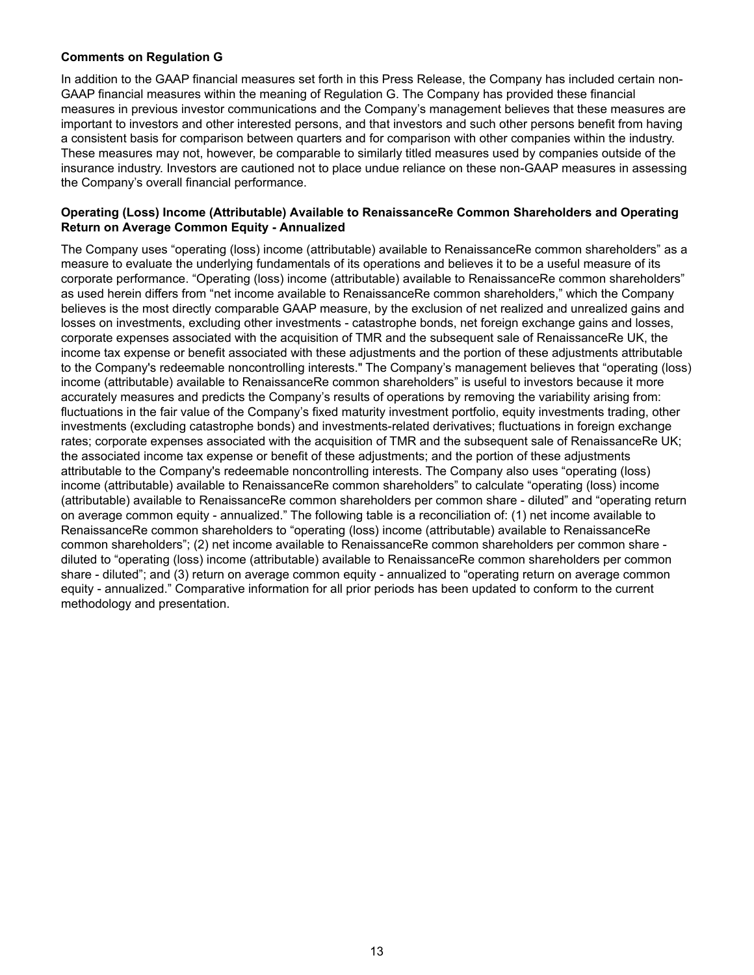### **Comments on Regulation G**

In addition to the GAAP financial measures set forth in this Press Release, the Company has included certain non-GAAP financial measures within the meaning of Regulation G. The Company has provided these financial measures in previous investor communications and the Company's management believes that these measures are important to investors and other interested persons, and that investors and such other persons benefit from having a consistent basis for comparison between quarters and for comparison with other companies within the industry. These measures may not, however, be comparable to similarly titled measures used by companies outside of the insurance industry. Investors are cautioned not to place undue reliance on these non-GAAP measures in assessing the Company's overall financial performance.

#### **Operating (Loss) Income (Attributable) Available to RenaissanceRe Common Shareholders and Operating Return on Average Common Equity - Annualized**

The Company uses "operating (loss) income (attributable) available to RenaissanceRe common shareholders" as a measure to evaluate the underlying fundamentals of its operations and believes it to be a useful measure of its corporate performance. "Operating (loss) income (attributable) available to RenaissanceRe common shareholders" as used herein differs from "net income available to RenaissanceRe common shareholders," which the Company believes is the most directly comparable GAAP measure, by the exclusion of net realized and unrealized gains and losses on investments, excluding other investments - catastrophe bonds, net foreign exchange gains and losses, corporate expenses associated with the acquisition of TMR and the subsequent sale of RenaissanceRe UK, the income tax expense or benefit associated with these adjustments and the portion of these adjustments attributable to the Company's redeemable noncontrolling interests." The Company's management believes that "operating (loss) income (attributable) available to RenaissanceRe common shareholders" is useful to investors because it more accurately measures and predicts the Company's results of operations by removing the variability arising from: fluctuations in the fair value of the Company's fixed maturity investment portfolio, equity investments trading, other investments (excluding catastrophe bonds) and investments-related derivatives; fluctuations in foreign exchange rates; corporate expenses associated with the acquisition of TMR and the subsequent sale of RenaissanceRe UK; the associated income tax expense or benefit of these adjustments; and the portion of these adjustments attributable to the Company's redeemable noncontrolling interests. The Company also uses "operating (loss) income (attributable) available to RenaissanceRe common shareholders" to calculate "operating (loss) income (attributable) available to RenaissanceRe common shareholders per common share - diluted" and "operating return on average common equity - annualized." The following table is a reconciliation of: (1) net income available to RenaissanceRe common shareholders to "operating (loss) income (attributable) available to RenaissanceRe common shareholders"; (2) net income available to RenaissanceRe common shareholders per common share diluted to "operating (loss) income (attributable) available to RenaissanceRe common shareholders per common share - diluted"; and (3) return on average common equity - annualized to "operating return on average common equity - annualized." Comparative information for all prior periods has been updated to conform to the current methodology and presentation.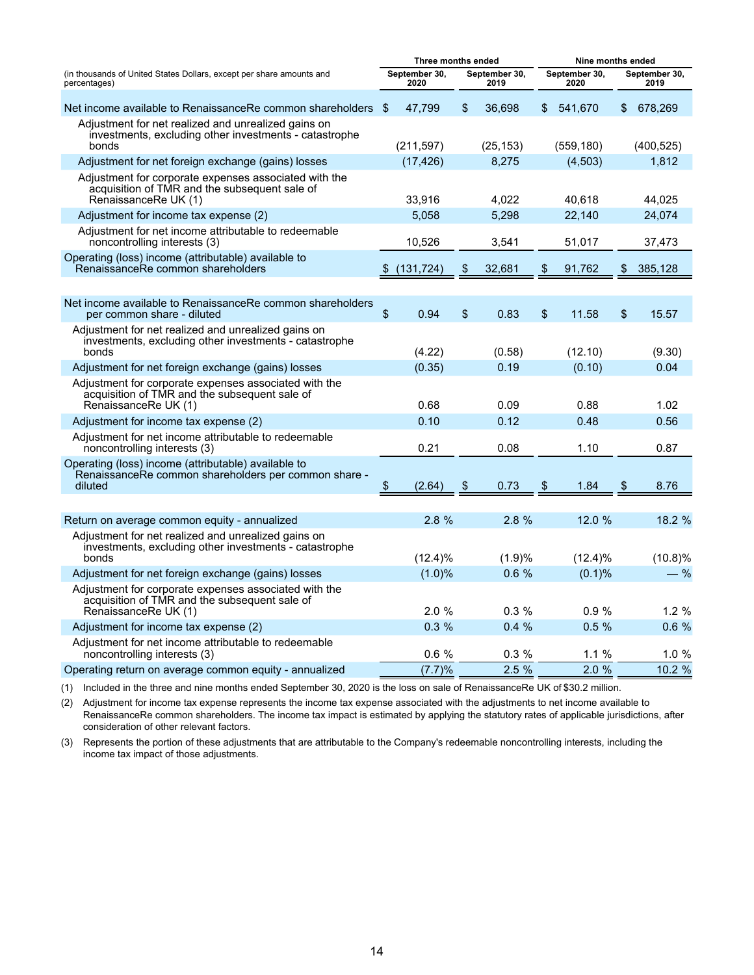|                                                                                                                                | Three months ended    |                       |                       | Nine months ended |                       |  |
|--------------------------------------------------------------------------------------------------------------------------------|-----------------------|-----------------------|-----------------------|-------------------|-----------------------|--|
| (in thousands of United States Dollars, except per share amounts and<br>percentages)                                           | September 30,<br>2020 | September 30,<br>2019 | September 30,<br>2020 |                   | September 30,<br>2019 |  |
| Net income available to RenaissanceRe common shareholders                                                                      | \$<br>47,799          | \$<br>36,698          | \$<br>541.670         | \$                | 678,269               |  |
| Adjustment for net realized and unrealized gains on<br>investments, excluding other investments - catastrophe<br>bonds         | (211, 597)            | (25, 153)             | (559, 180)            |                   | (400, 525)            |  |
| Adjustment for net foreign exchange (gains) losses                                                                             | (17, 426)             | 8,275                 | (4, 503)              |                   | 1,812                 |  |
| Adjustment for corporate expenses associated with the<br>acquisition of TMR and the subsequent sale of<br>RenaissanceRe UK (1) | 33,916                | 4,022                 | 40,618                |                   | 44,025                |  |
| Adjustment for income tax expense (2)                                                                                          | 5,058                 | 5,298                 | 22,140                |                   | 24,074                |  |
| Adjustment for net income attributable to redeemable<br>noncontrolling interests (3)                                           | 10,526                | 3,541                 | 51,017                |                   | 37,473                |  |
| Operating (loss) income (attributable) available to<br>RenaissanceRe common shareholders                                       | (131, 724)            | \$<br>32,681          | \$<br>91.762          | \$                | 385,128               |  |
|                                                                                                                                |                       |                       |                       |                   |                       |  |
| Net income available to RenaissanceRe common shareholders<br>per common share - diluted                                        | \$<br>0.94            | \$<br>0.83            | \$<br>11.58           | \$                | 15.57                 |  |
| Adjustment for net realized and unrealized gains on<br>investments, excluding other investments - catastrophe<br>bonds         | (4.22)                | (0.58)                | (12.10)               |                   | (9.30)                |  |
| Adjustment for net foreign exchange (gains) losses                                                                             | (0.35)                | 0.19                  | (0.10)                |                   | 0.04                  |  |
| Adjustment for corporate expenses associated with the<br>acquisition of TMR and the subsequent sale of<br>RenaissanceRe UK (1) | 0.68                  | 0.09                  | 0.88                  |                   | 1.02                  |  |
| Adjustment for income tax expense (2)                                                                                          | 0.10                  | 0.12                  | 0.48                  |                   | 0.56                  |  |
| Adjustment for net income attributable to redeemable<br>noncontrolling interests (3)                                           | 0.21                  | 0.08                  | 1.10                  |                   | 0.87                  |  |
| Operating (loss) income (attributable) available to<br>RenaissanceRe common shareholders per common share -<br>diluted         | \$<br>(2.64)          | \$<br>0.73            | \$<br>1.84            | \$                | 8.76                  |  |
|                                                                                                                                |                       |                       |                       |                   |                       |  |
| Return on average common equity - annualized                                                                                   | 2.8%                  | 2.8%                  | 12.0 %                |                   | 18.2 %                |  |
| Adjustment for net realized and unrealized gains on<br>investments, excluding other investments - catastrophe<br>bonds         | $(12.4)\%$            | (1.9)%                | $(12.4)\%$            |                   | $(10.8)\%$            |  |
| Adjustment for net foreign exchange (gains) losses                                                                             | $(1.0)\%$             | 0.6%                  | $(0.1)\%$             |                   | $-$ %                 |  |
| Adjustment for corporate expenses associated with the<br>acquisition of TMR and the subsequent sale of<br>RenaissanceRe UK (1) | 2.0%                  | 0.3%                  | 0.9%                  |                   | 1.2%                  |  |
| Adjustment for income tax expense (2)                                                                                          | 0.3%                  | 0.4%                  | 0.5%                  |                   | 0.6%                  |  |
| Adjustment for net income attributable to redeemable<br>noncontrolling interests (3)                                           | 0.6%                  | 0.3%                  | 1.1%                  |                   | $1.0 \%$              |  |
| Operating return on average common equity - annualized                                                                         | (7.7)%                | 2.5 %                 | 2.0 %                 |                   | 10.2 %                |  |
|                                                                                                                                |                       |                       |                       |                   |                       |  |

(1) Included in the three and nine months ended September 30, 2020 is the loss on sale of RenaissanceRe UK of \$30.2 million.

(2) Adjustment for income tax expense represents the income tax expense associated with the adjustments to net income available to RenaissanceRe common shareholders. The income tax impact is estimated by applying the statutory rates of applicable jurisdictions, after consideration of other relevant factors.

(3) Represents the portion of these adjustments that are attributable to the Company's redeemable noncontrolling interests, including the income tax impact of those adjustments.